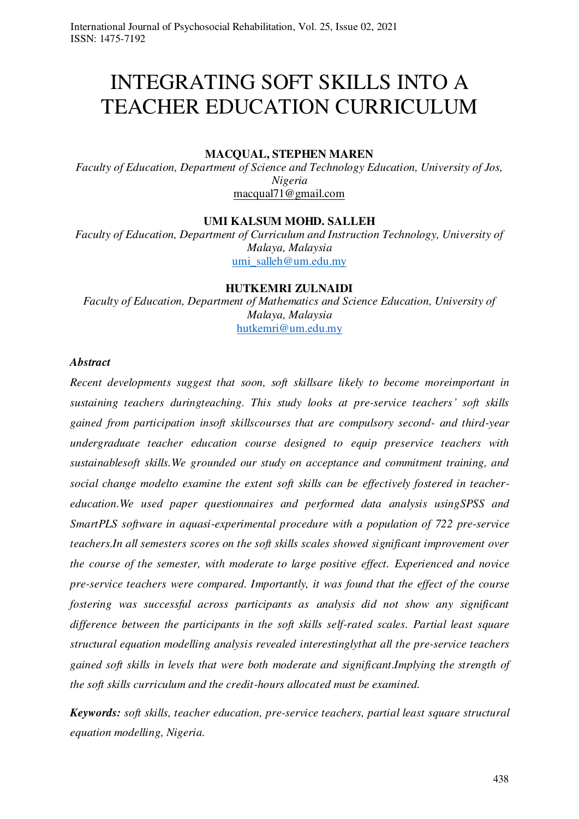# INTEGRATING SOFT SKILLS INTO A TEACHER EDUCATION CURRICULUM

## **MACQUAL, STEPHEN MAREN**

*Faculty of Education, Department of Science and Technology Education, University of Jos, Nigeria*  [macqual71@gmail.com](mailto:macqual71@gmail.com) 

#### **UMI KALSUM MOHD. SALLEH**

*Faculty of Education, Department of Curriculum and Instruction Technology, University of Malaya, Malaysia*  [umi\\_salleh@um.edu.my](mailto:umi_salleh@um.edu.my)

#### **HUTKEMRI ZULNAIDI**

*Faculty of Education, Department of Mathematics and Science Education, University of Malaya, Malaysia*  [hutkemri@um.edu.my](mailto:hutkemri@um.edu.my)

### *Abstract*

*Recent developments suggest that soon, soft skillsare likely to become moreimportant in sustaining teachers duringteaching. This study looks at pre-service teachers' soft skills gained from participation insoft skillscourses that are compulsory second- and third-year undergraduate teacher education course designed to equip preservice teachers with sustainablesoft skills.We grounded our study on acceptance and commitment training, and social change modelto examine the extent soft skills can be effectively fostered in teachereducation.We used paper questionnaires and performed data analysis usingSPSS and SmartPLS software in aquasi-experimental procedure with a population of 722 pre-service teachers.In all semesters scores on the soft skills scales showed significant improvement over the course of the semester, with moderate to large positive effect. Experienced and novice pre-service teachers were compared. Importantly, it was found that the effect of the course fostering was successful across participants as analysis did not show any significant difference between the participants in the soft skills self-rated scales. Partial least square structural equation modelling analysis revealed interestinglythat all the pre-service teachers gained soft skills in levels that were both moderate and significant.Implying the strength of the soft skills curriculum and the credit-hours allocated must be examined.* 

*Keywords: soft skills, teacher education, pre-service teachers, partial least square structural equation modelling, Nigeria.*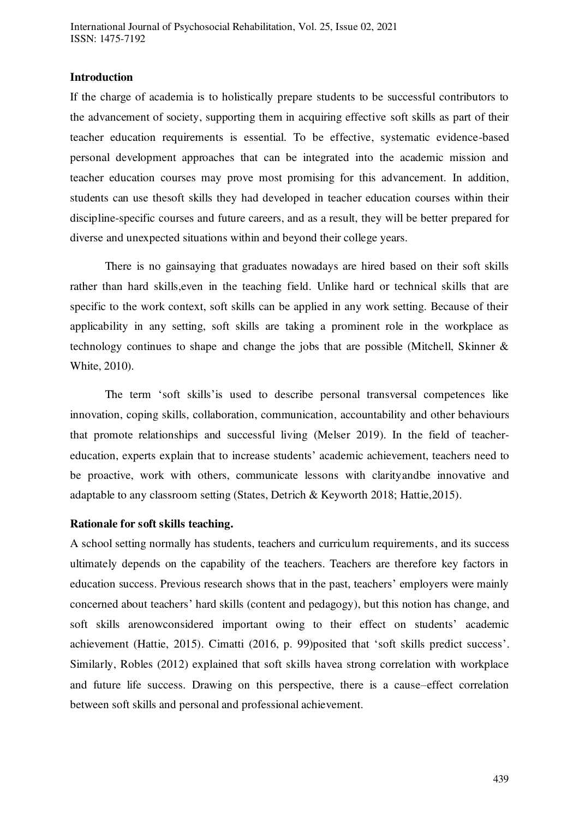## **Introduction**

If the charge of academia is to holistically prepare students to be successful contributors to the advancement of society, supporting them in acquiring effective soft skills as part of their teacher education requirements is essential. To be effective, systematic evidence-based personal development approaches that can be integrated into the academic mission and teacher education courses may prove most promising for this advancement. In addition, students can use thesoft skills they had developed in teacher education courses within their discipline-specific courses and future careers, and as a result, they will be better prepared for diverse and unexpected situations within and beyond their college years.

There is no gainsaying that graduates nowadays are hired based on their soft skills rather than hard skills,even in the teaching field. Unlike hard or technical skills that are specific to the work context, soft skills can be applied in any work setting. Because of their applicability in any setting, soft skills are taking a prominent role in the workplace as technology continues to shape and change the jobs that are possible (Mitchell, Skinner & White, 2010).

The term 'soft skills'is used to describe personal transversal competences like innovation, coping skills, collaboration, communication, accountability and other behaviours that promote relationships and successful living (Melser 2019). In the field of teachereducation, experts explain that to increase students' academic achievement, teachers need to be proactive, work with others, communicate lessons with clarityandbe innovative and adaptable to any classroom setting (States, Detrich & Keyworth 2018; Hattie,2015).

## **Rationale for soft skills teaching.**

A school setting normally has students, teachers and curriculum requirements, and its success ultimately depends on the capability of the teachers. Teachers are therefore key factors in education success. Previous research shows that in the past, teachers' employers were mainly concerned about teachers' hard skills (content and pedagogy), but this notion has change, and soft skills arenowconsidered important owing to their effect on students' academic achievement (Hattie, 2015). Cimatti (2016, p. 99)posited that 'soft skills predict success'. Similarly, Robles (2012) explained that soft skills havea strong correlation with workplace and future life success. Drawing on this perspective, there is a cause–effect correlation between soft skills and personal and professional achievement.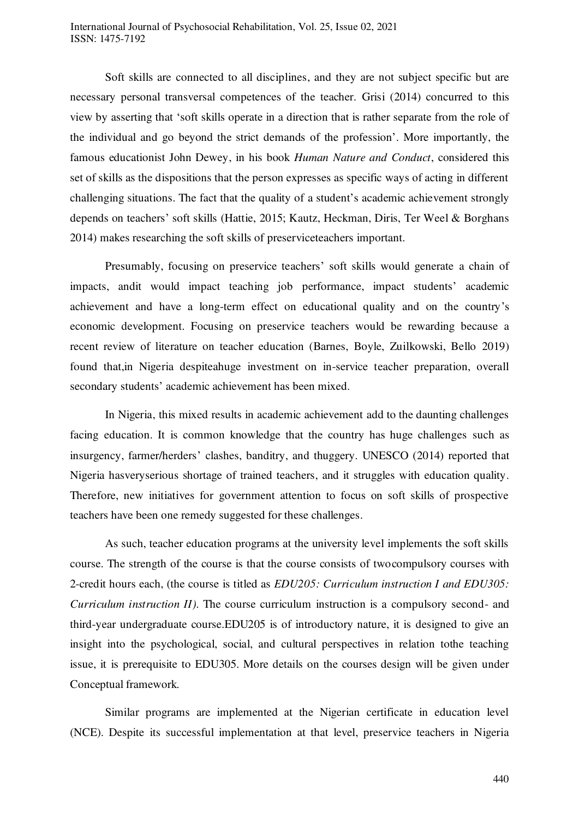Soft skills are connected to all disciplines, and they are not subject specific but are necessary personal transversal competences of the teacher. Grisi (2014) concurred to this view by asserting that 'soft skills operate in a direction that is rather separate from the role of the individual and go beyond the strict demands of the profession'. More importantly, the famous educationist John Dewey, in his book *Human Nature and Conduct*, considered this set of skills as the dispositions that the person expresses as specific ways of acting in different challenging situations. The fact that the quality of a student's academic achievement strongly depends on teachers' soft skills (Hattie, 2015; Kautz, Heckman, Diris, Ter Weel & Borghans 2014) makes researching the soft skills of preserviceteachers important.

Presumably, focusing on preservice teachers' soft skills would generate a chain of impacts, andit would impact teaching job performance, impact students' academic achievement and have a long-term effect on educational quality and on the country's economic development. Focusing on preservice teachers would be rewarding because a recent review of literature on teacher education (Barnes, Boyle, Zuilkowski, Bello 2019) found that,in Nigeria despiteahuge investment on in-service teacher preparation, overall secondary students' academic achievement has been mixed.

In Nigeria, this mixed results in academic achievement add to the daunting challenges facing education. It is common knowledge that the country has huge challenges such as insurgency, farmer/herders' clashes, banditry, and thuggery. UNESCO (2014) reported that Nigeria hasveryserious shortage of trained teachers, and it struggles with education quality. Therefore, new initiatives for government attention to focus on soft skills of prospective teachers have been one remedy suggested for these challenges.

As such, teacher education programs at the university level implements the soft skills course. The strength of the course is that the course consists of twocompulsory courses with 2-credit hours each, (the course is titled as *EDU205: Curriculum instruction I and EDU305: Curriculum instruction II)*. The course curriculum instruction is a compulsory second- and third-year undergraduate course.EDU205 is of introductory nature, it is designed to give an insight into the psychological, social, and cultural perspectives in relation tothe teaching issue, it is prerequisite to EDU305. More details on the courses design will be given under Conceptual framework*.*

Similar programs are implemented at the Nigerian certificate in education level (NCE). Despite its successful implementation at that level, preservice teachers in Nigeria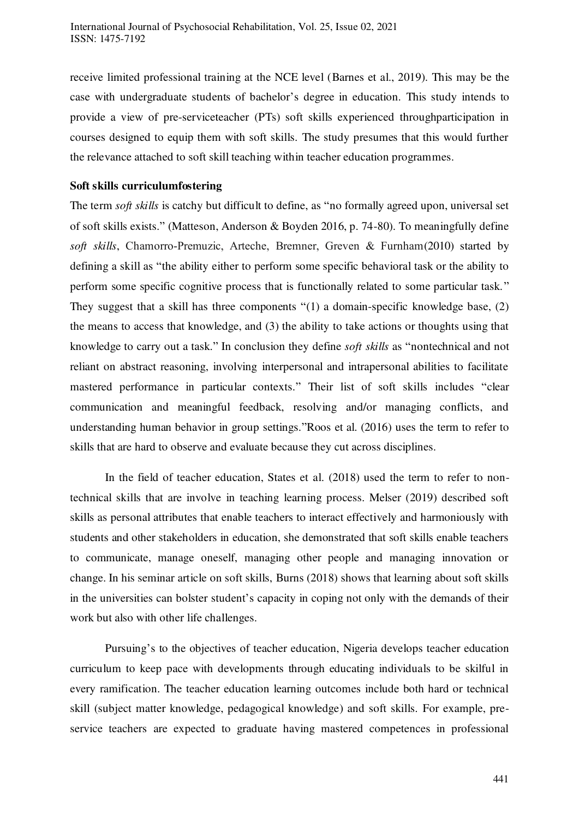receive limited professional training at the NCE level (Barnes et al., 2019). This may be the case with undergraduate students of bachelor's degree in education. This study intends to provide a view of pre-serviceteacher (PTs) soft skills experienced throughparticipation in courses designed to equip them with soft skills. The study presumes that this would further the relevance attached to soft skill teaching within teacher education programmes.

## **Soft skills curriculumfostering**

The term *soft skills* is catchy but difficult to define, as "no formally agreed upon, universal set of soft skills exists." (Matteson, Anderson & Boyden 2016, p. 74-80). To meaningfully define *soft skills*, Chamorro‐Premuzic, Arteche, Bremner, Greven & Furnham(2010) started by defining a skill as "the ability either to perform some specific behavioral task or the ability to perform some specific cognitive process that is functionally related to some particular task." They suggest that a skill has three components "(1) a domain-specific knowledge base, (2) the means to access that knowledge, and (3) the ability to take actions or thoughts using that knowledge to carry out a task." In conclusion they define *soft skills* as "nontechnical and not reliant on abstract reasoning, involving interpersonal and intrapersonal abilities to facilitate mastered performance in particular contexts." Their list of soft skills includes "clear communication and meaningful feedback, resolving and/or managing conflicts, and understanding human behavior in group settings."Roos et al. (2016) uses the term to refer to skills that are hard to observe and evaluate because they cut across disciplines.

In the field of teacher education, States et al. (2018) used the term to refer to nontechnical skills that are involve in teaching learning process. Melser (2019) described soft skills as personal attributes that enable teachers to interact effectively and harmoniously with students and other stakeholders in education, she demonstrated that soft skills enable teachers to communicate, manage oneself, managing other people and managing innovation or change. In his seminar article on soft skills, Burns (2018) shows that learning about soft skills in the universities can bolster student's capacity in coping not only with the demands of their work but also with other life challenges.

Pursuing's to the objectives of teacher education, Nigeria develops teacher education curriculum to keep pace with developments through educating individuals to be skilful in every ramification. The teacher education learning outcomes include both hard or technical skill (subject matter knowledge, pedagogical knowledge) and soft skills. For example, preservice teachers are expected to graduate having mastered competences in professional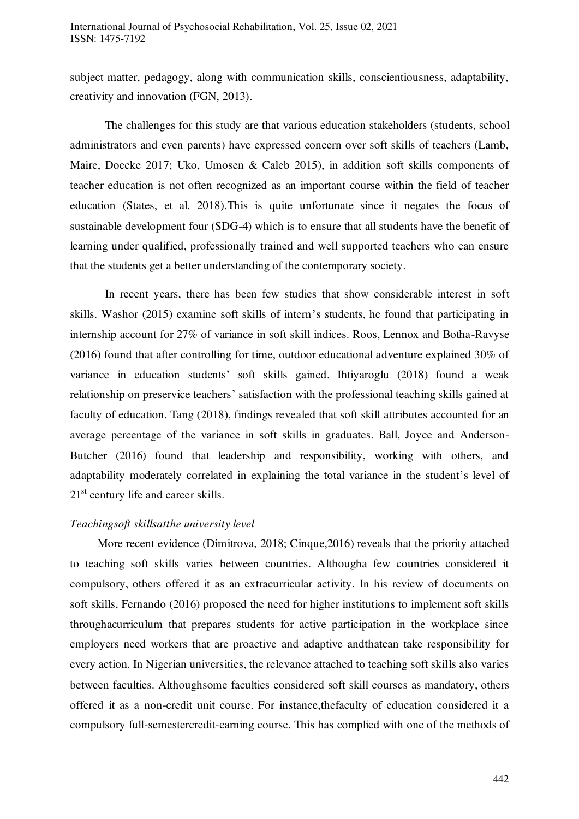subject matter, pedagogy, along with communication skills, conscientiousness, adaptability, creativity and innovation (FGN, 2013).

The challenges for this study are that various education stakeholders (students, school administrators and even parents) have expressed concern over soft skills of teachers (Lamb, Maire, Doecke 2017; Uko, Umosen & Caleb 2015), in addition soft skills components of teacher education is not often recognized as an important course within the field of teacher education (States, et al. 2018).This is quite unfortunate since it negates the focus of sustainable development four (SDG-4) which is to ensure that all students have the benefit of learning under qualified, professionally trained and well supported teachers who can ensure that the students get a better understanding of the contemporary society.

In recent years, there has been few studies that show considerable interest in soft skills. Washor (2015) examine soft skills of intern's students, he found that participating in internship account for 27% of variance in soft skill indices. Roos, Lennox and Botha-Ravyse (2016) found that after controlling for time, outdoor educational adventure explained 30% of variance in education students' soft skills gained. Ihtiyaroglu (2018) found a weak relationship on preservice teachers' satisfaction with the professional teaching skills gained at faculty of education. Tang (2018), findings revealed that soft skill attributes accounted for an average percentage of the variance in soft skills in graduates. Ball, Joyce and Anderson-Butcher (2016) found that leadership and responsibility, working with others, and adaptability moderately correlated in explaining the total variance in the student's level of 21<sup>st</sup> century life and career skills.

## *Teachingsoft skillsatthe university level*

More recent evidence (Dimitrova, 2018; Cinque,2016) reveals that the priority attached to teaching soft skills varies between countries. Althougha few countries considered it compulsory, others offered it as an extracurricular activity. In his review of documents on soft skills, Fernando (2016) proposed the need for higher institutions to implement soft skills throughacurriculum that prepares students for active participation in the workplace since employers need workers that are proactive and adaptive andthatcan take responsibility for every action. In Nigerian universities, the relevance attached to teaching soft skills also varies between faculties. Althoughsome faculties considered soft skill courses as mandatory, others offered it as a non-credit unit course. For instance,thefaculty of education considered it a compulsory full-semestercredit-earning course. This has complied with one of the methods of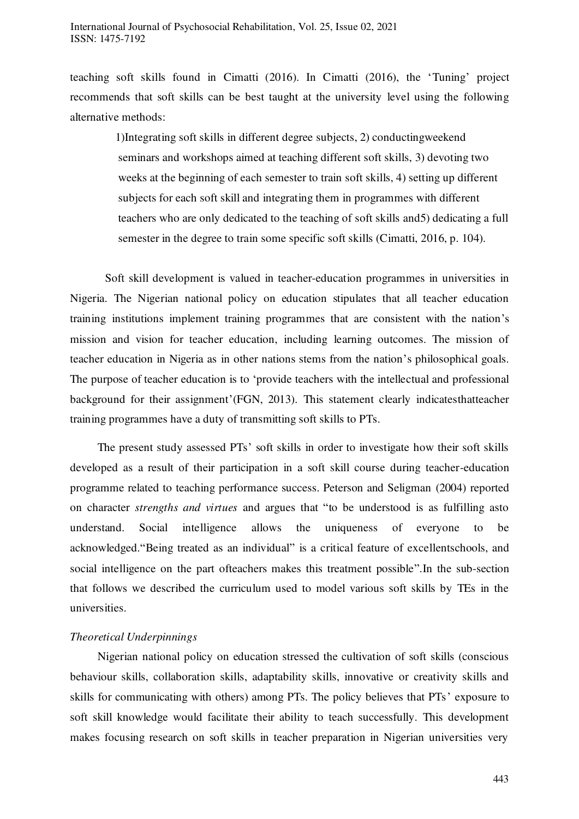teaching soft skills found in Cimatti (2016). In Cimatti (2016), the 'Tuning' project recommends that soft skills can be best taught at the university level using the following alternative methods:

> 1)Integrating soft skills in different degree subjects, 2) conductingweekend seminars and workshops aimed at teaching different soft skills, 3) devoting two weeks at the beginning of each semester to train soft skills, 4) setting up different subjects for each soft skill and integrating them in programmes with different teachers who are only dedicated to the teaching of soft skills and5) dedicating a full semester in the degree to train some specific soft skills (Cimatti, 2016, p. 104).

Soft skill development is valued in teacher-education programmes in universities in Nigeria. The Nigerian national policy on education stipulates that all teacher education training institutions implement training programmes that are consistent with the nation's mission and vision for teacher education, including learning outcomes. The mission of teacher education in Nigeria as in other nations stems from the nation's philosophical goals. The purpose of teacher education is to 'provide teachers with the intellectual and professional background for their assignment'(FGN, 2013). This statement clearly indicatesthatteacher training programmes have a duty of transmitting soft skills to PTs.

The present study assessed PTs' soft skills in order to investigate how their soft skills developed as a result of their participation in a soft skill course during teacher-education programme related to teaching performance success. Peterson and Seligman (2004) reported on character *strengths and virtues* and argues that "to be understood is as fulfilling asto understand. Social intelligence allows the uniqueness of everyone to be acknowledged."Being treated as an individual" is a critical feature of excellentschools, and social intelligence on the part ofteachers makes this treatment possible".In the sub-section that follows we described the curriculum used to model various soft skills by TEs in the universities.

## *Theoretical Underpinnings*

Nigerian national policy on education stressed the cultivation of soft skills (conscious behaviour skills, collaboration skills, adaptability skills, innovative or creativity skills and skills for communicating with others) among PTs. The policy believes that PTs' exposure to soft skill knowledge would facilitate their ability to teach successfully. This development makes focusing research on soft skills in teacher preparation in Nigerian universities very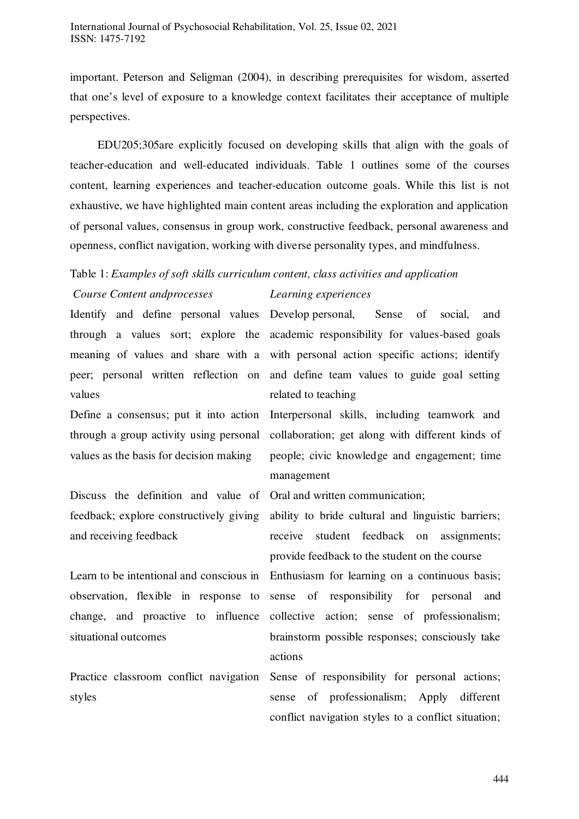important. Peterson and Seligman (2004), in describing prerequisites for wisdom, asserted that one's level of exposure to a knowledge context facilitates their acceptance of multiple perspectives.

EDU205;305are explicitly focused on developing skills that align with the goals of teacher-education and well-educated individuals. Table 1 outlines some of the courses content, learning experiences and teacher-education outcome goals. While this list is not exhaustive, we have highlighted main content areas including the exploration and application of personal values, consensus in group work, constructive feedback, personal awareness and openness, conflict navigation, working with diverse personality types, and mindfulness.

## Table 1: *Examples of soft skills curriculum content, class activities and application Course Content andprocesses Learning experiences*

Identify and define personal values through a values sort; explore the meaning of values and share with a peer; personal written reflection on values

Define a consensus; put it into action through a group activity using personal values as the basis for decision making

Discuss the definition and value of feedback; explore constructively giving and receiving feedback

Learn to be intentional and conscious in observation, flexible in response to change, and proactive to influence situational outcomes

Practice classroom conflict navigation styles

## Develop personal, Sense of social, and academic responsibility for values-based goals with personal action specific actions; identify and define team values to guide goal setting related to teaching

Interpersonal skills, including teamwork and collaboration; get along with different kinds of people; civic knowledge and engagement; time management

Oral and written communication;

ability to bride cultural and linguistic barriers; receive student feedback on assignments; provide feedback to the student on the course

Enthusiasm for learning on a continuous basis; sense of responsibility for personal and collective action; sense of professionalism; brainstorm possible responses; consciously take actions

Sense of responsibility for personal actions; sense of professionalism; Apply different conflict navigation styles to a conflict situation;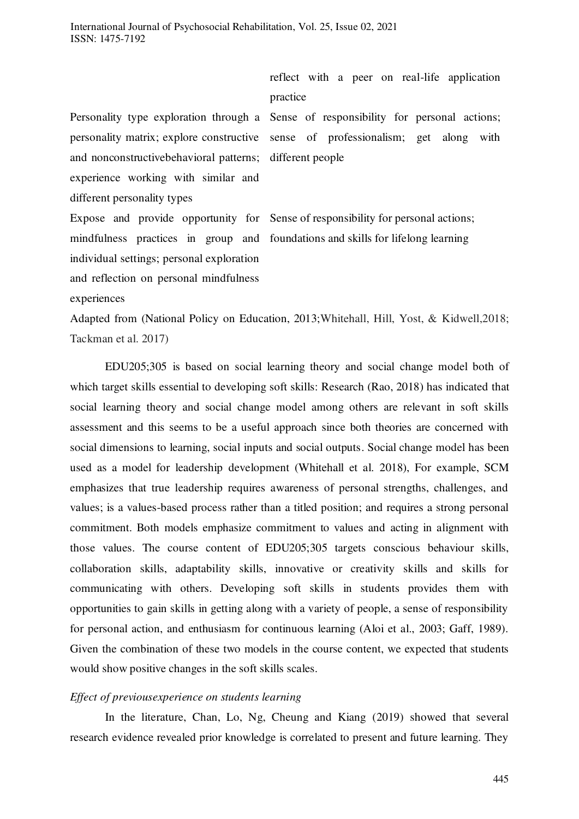practice Personality type exploration through a Sense of responsibility for personal actions; personality matrix; explore constructive and nonconstructivebehavioral patterns; experience working with similar and different personality types different people Expose and provide opportunity for Sense of responsibility for personal actions;

sense of professionalism; get along with

reflect with a peer on real-life application

mindfulness practices in group and foundations and skills for lifelong learning individual settings; personal exploration and reflection on personal mindfulness

experiences

Adapted from (National Policy on Education, 2013;Whitehall, Hill, Yost, & Kidwell,2018; Tackman et al. 2017)

EDU205;305 is based on social learning theory and social change model both of which target skills essential to developing soft skills: Research (Rao, 2018) has indicated that social learning theory and social change model among others are relevant in soft skills assessment and this seems to be a useful approach since both theories are concerned with social dimensions to learning, social inputs and social outputs. Social change model has been used as a model for leadership development (Whitehall et al. 2018), For example, SCM emphasizes that true leadership requires awareness of personal strengths, challenges, and values; is a values-based process rather than a titled position; and requires a strong personal commitment. Both models emphasize commitment to values and acting in alignment with those values. The course content of EDU205;305 targets conscious behaviour skills, collaboration skills, adaptability skills, innovative or creativity skills and skills for communicating with others. Developing soft skills in students provides them with opportunities to gain skills in getting along with a variety of people, a sense of responsibility for personal action, and enthusiasm for continuous learning (Aloi et al., 2003; Gaff, 1989). Given the combination of these two models in the course content, we expected that students would show positive changes in the soft skills scales.

### *Effect of previousexperience on students learning*

In the literature, Chan, Lo, Ng, Cheung and Kiang (2019) showed that several research evidence revealed prior knowledge is correlated to present and future learning. They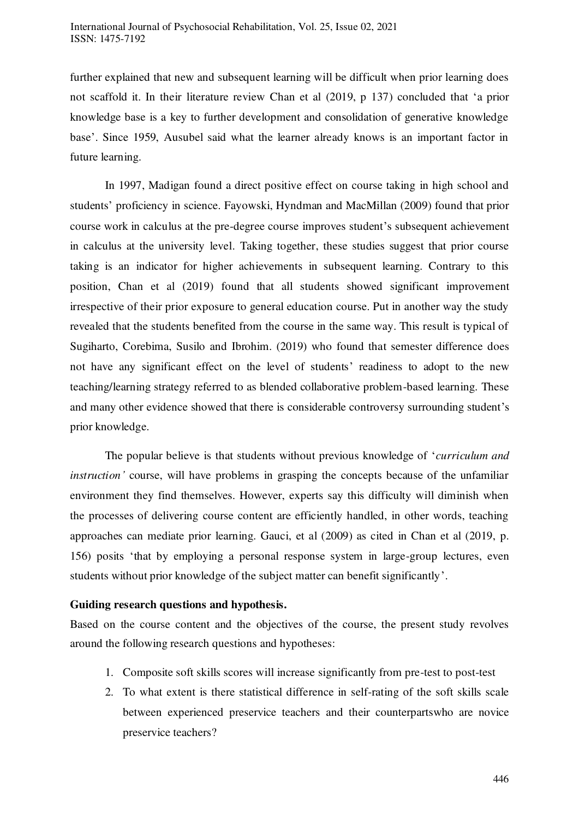further explained that new and subsequent learning will be difficult when prior learning does not scaffold it. In their literature review Chan et al (2019, p 137) concluded that 'a prior knowledge base is a key to further development and consolidation of generative knowledge base'. Since 1959, Ausubel said what the learner already knows is an important factor in future learning.

In 1997, Madigan found a direct positive effect on course taking in high school and students' proficiency in science. Fayowski, Hyndman and MacMillan (2009) found that prior course work in calculus at the pre-degree course improves student's subsequent achievement in calculus at the university level. Taking together, these studies suggest that prior course taking is an indicator for higher achievements in subsequent learning. Contrary to this position, Chan et al (2019) found that all students showed significant improvement irrespective of their prior exposure to general education course. Put in another way the study revealed that the students benefited from the course in the same way. This result is typical of Sugiharto, Corebima, Susilo and Ibrohim. (2019) who found that semester difference does not have any significant effect on the level of students' readiness to adopt to the new teaching/learning strategy referred to as blended collaborative problem-based learning. These and many other evidence showed that there is considerable controversy surrounding student's prior knowledge.

The popular believe is that students without previous knowledge of '*curriculum and instruction'* course, will have problems in grasping the concepts because of the unfamiliar environment they find themselves. However, experts say this difficulty will diminish when the processes of delivering course content are efficiently handled, in other words, teaching approaches can mediate prior learning. Gauci, et al (2009) as cited in Chan et al (2019, p. 156) posits 'that by employing a personal response system in large-group lectures, even students without prior knowledge of the subject matter can benefit significantly'.

## **Guiding research questions and hypothesis.**

Based on the course content and the objectives of the course, the present study revolves around the following research questions and hypotheses:

- 1. Composite soft skills scores will increase significantly from pre-test to post-test
- 2. To what extent is there statistical difference in self-rating of the soft skills scale between experienced preservice teachers and their counterpartswho are novice preservice teachers?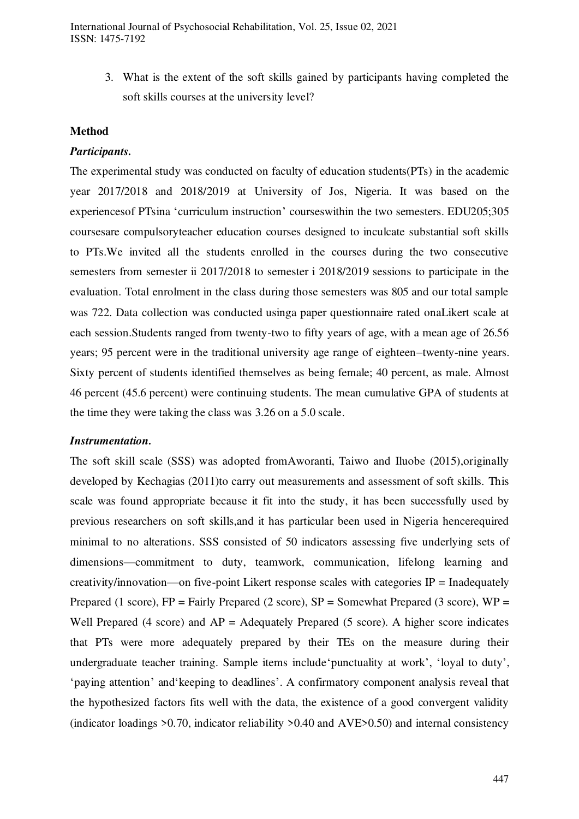International Journal of Psychosocial Rehabilitation, Vol. 25, Issue 02, 2021 ISSN: 1475-7192

> 3. What is the extent of the soft skills gained by participants having completed the soft skills courses at the university level?

#### **Method**

#### *Participants.*

The experimental study was conducted on faculty of education students(PTs) in the academic year 2017/2018 and 2018/2019 at University of Jos, Nigeria. It was based on the experiencesof PTsina 'curriculum instruction' courseswithin the two semesters. EDU205;305 coursesare compulsoryteacher education courses designed to inculcate substantial soft skills to PTs.We invited all the students enrolled in the courses during the two consecutive semesters from semester ii 2017/2018 to semester i 2018/2019 sessions to participate in the evaluation. Total enrolment in the class during those semesters was 805 and our total sample was 722. Data collection was conducted usinga paper questionnaire rated onaLikert scale at each session.Students ranged from twenty-two to fifty years of age, with a mean age of 26.56 years; 95 percent were in the traditional university age range of eighteen–twenty-nine years. Sixty percent of students identified themselves as being female; 40 percent, as male. Almost 46 percent (45.6 percent) were continuing students. The mean cumulative GPA of students at the time they were taking the class was 3.26 on a 5.0 scale.

#### *Instrumentation.*

The soft skill scale (SSS) was adopted fromAworanti, Taiwo and Iluobe (2015),originally developed by Kechagias (2011)to carry out measurements and assessment of soft skills. This scale was found appropriate because it fit into the study, it has been successfully used by previous researchers on soft skills,and it has particular been used in Nigeria hencerequired minimal to no alterations. SSS consisted of 50 indicators assessing five underlying sets of dimensions—commitment to duty, teamwork, communication, lifelong learning and creativity/innovation—on five-point Likert response scales with categories  $IP =$  Inadequately Prepared (1 score),  $FP = Fairly$  Prepared (2 score),  $SP = Somewhat$  Prepared (3 score),  $WP =$ Well Prepared (4 score) and  $AP =$  Adequately Prepared (5 score). A higher score indicates that PTs were more adequately prepared by their TEs on the measure during their undergraduate teacher training. Sample items include'punctuality at work', 'loyal to duty', 'paying attention' and'keeping to deadlines'. A confirmatory component analysis reveal that the hypothesized factors fits well with the data, the existence of a good convergent validity (indicator loadings  $>0.70$ , indicator reliability  $>0.40$  and AVE $>0.50$ ) and internal consistency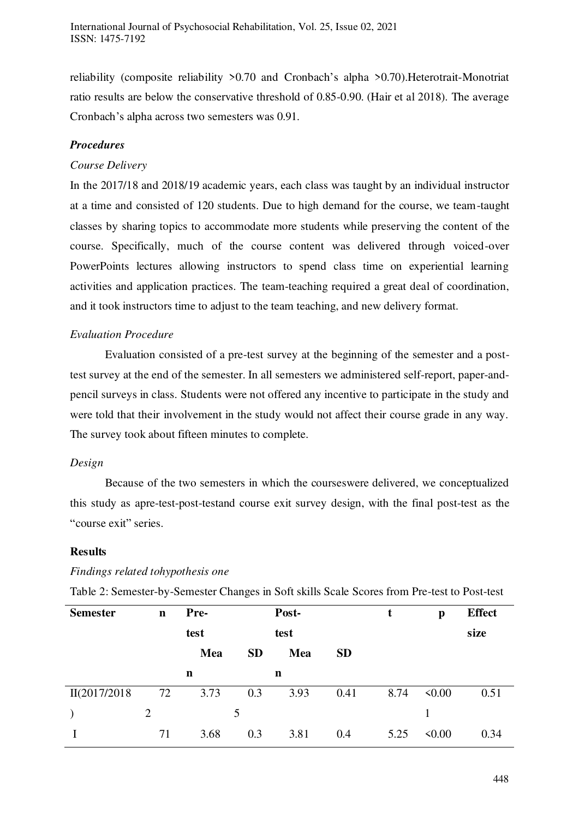reliability (composite reliability >0.70 and Cronbach's alpha >0.70).Heterotrait-Monotriat ratio results are below the conservative threshold of 0.85-0.90. (Hair et al 2018). The average Cronbach's alpha across two semesters was 0.91.

## *Procedures*

## *Course Delivery*

In the 2017/18 and 2018/19 academic years, each class was taught by an individual instructor at a time and consisted of 120 students. Due to high demand for the course, we team-taught classes by sharing topics to accommodate more students while preserving the content of the course. Specifically, much of the course content was delivered through voiced-over PowerPoints lectures allowing instructors to spend class time on experiential learning activities and application practices. The team-teaching required a great deal of coordination, and it took instructors time to adjust to the team teaching, and new delivery format.

## *Evaluation Procedure*

Evaluation consisted of a pre-test survey at the beginning of the semester and a posttest survey at the end of the semester. In all semesters we administered self-report, paper-andpencil surveys in class. Students were not offered any incentive to participate in the study and were told that their involvement in the study would not affect their course grade in any way. The survey took about fifteen minutes to complete.

## *Design*

Because of the two semesters in which the courseswere delivered, we conceptualized this study as apre-test-post-testand course exit survey design, with the final post-test as the "course exit" series.

## **Results**

## *Findings related tohypothesis one*

Table 2: Semester-by-Semester Changes in Soft skills Scale Scores from Pre-test to Post-test

| <b>Semester</b> | $\mathbf n$ | Pre- |           | Post- |           | t    | $\mathbf{p}$ | <b>Effect</b> |
|-----------------|-------------|------|-----------|-------|-----------|------|--------------|---------------|
|                 |             | test |           | test  |           |      |              | size          |
|                 |             | Mea  | <b>SD</b> | Mea   | <b>SD</b> |      |              |               |
|                 |             | n    |           | n     |           |      |              |               |
| II(2017/2018    | 72          | 3.73 | 0.3       | 3.93  | 0.41      | 8.74 | 50.00        | 0.51          |
|                 | 2           |      | 5         |       |           |      |              |               |
|                 | 71          | 3.68 | 0.3       | 3.81  | 0.4       | 5.25 | 50.00        | 0.34          |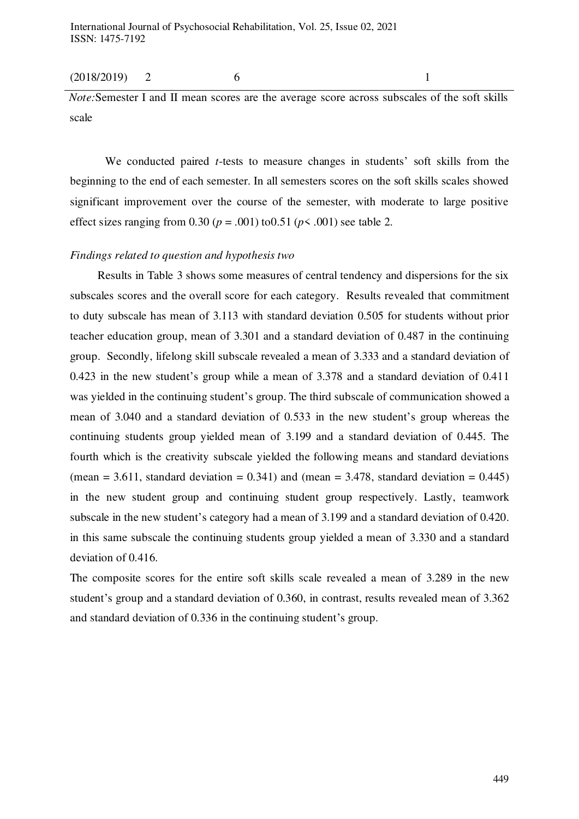#### (2018/2019) 2 6 1

*Note:*Semester I and II mean scores are the average score across subscales of the soft skills scale

We conducted paired *t*-tests to measure changes in students' soft skills from the beginning to the end of each semester. In all semesters scores on the soft skills scales showed significant improvement over the course of the semester, with moderate to large positive effect sizes ranging from  $0.30$  ( $p = .001$ ) to $0.51$  ( $p < .001$ ) see table 2.

#### *Findings related to question and hypothesis two*

Results in Table 3 shows some measures of central tendency and dispersions for the six subscales scores and the overall score for each category. Results revealed that commitment to duty subscale has mean of 3.113 with standard deviation 0.505 for students without prior teacher education group, mean of 3.301 and a standard deviation of 0.487 in the continuing group. Secondly, lifelong skill subscale revealed a mean of 3.333 and a standard deviation of 0.423 in the new student's group while a mean of 3.378 and a standard deviation of 0.411 was yielded in the continuing student's group. The third subscale of communication showed a mean of 3.040 and a standard deviation of 0.533 in the new student's group whereas the continuing students group yielded mean of 3.199 and a standard deviation of 0.445. The fourth which is the creativity subscale yielded the following means and standard deviations (mean = 3.611, standard deviation =  $0.341$ ) and (mean = 3.478, standard deviation =  $0.445$ ) in the new student group and continuing student group respectively. Lastly, teamwork subscale in the new student's category had a mean of 3.199 and a standard deviation of 0.420. in this same subscale the continuing students group yielded a mean of 3.330 and a standard deviation of 0.416.

The composite scores for the entire soft skills scale revealed a mean of 3.289 in the new student's group and a standard deviation of 0.360, in contrast, results revealed mean of 3.362 and standard deviation of 0.336 in the continuing student's group.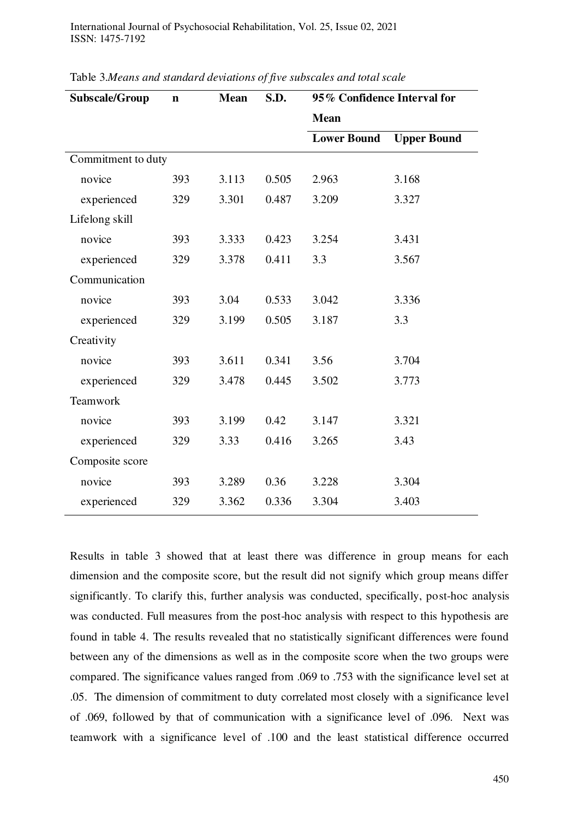International Journal of Psychosocial Rehabilitation, Vol. 25, Issue 02, 2021 ISSN: 1475-7192

| Subscale/Group     | $\mathbf n$ | <b>Mean</b> | S.D.  | 95% Confidence Interval for |                    |  |
|--------------------|-------------|-------------|-------|-----------------------------|--------------------|--|
|                    |             |             |       | <b>Mean</b>                 |                    |  |
|                    |             |             |       | <b>Lower Bound</b>          | <b>Upper Bound</b> |  |
| Commitment to duty |             |             |       |                             |                    |  |
| novice             | 393         | 3.113       | 0.505 | 2.963                       | 3.168              |  |
| experienced        | 329         | 3.301       | 0.487 | 3.209                       | 3.327              |  |
| Lifelong skill     |             |             |       |                             |                    |  |
| novice             | 393         | 3.333       | 0.423 | 3.254                       | 3.431              |  |
| experienced        | 329         | 3.378       | 0.411 | 3.3                         | 3.567              |  |
| Communication      |             |             |       |                             |                    |  |
| novice             | 393         | 3.04        | 0.533 | 3.042                       | 3.336              |  |
| experienced        | 329         | 3.199       | 0.505 | 3.187                       | 3.3                |  |
| Creativity         |             |             |       |                             |                    |  |
| novice             | 393         | 3.611       | 0.341 | 3.56                        | 3.704              |  |
| experienced        | 329         | 3.478       | 0.445 | 3.502                       | 3.773              |  |
| Teamwork           |             |             |       |                             |                    |  |
| novice             | 393         | 3.199       | 0.42  | 3.147                       | 3.321              |  |
| experienced        | 329         | 3.33        | 0.416 | 3.265                       | 3.43               |  |
| Composite score    |             |             |       |                             |                    |  |
| novice             | 393         | 3.289       | 0.36  | 3.228                       | 3.304              |  |
| experienced        | 329         | 3.362       | 0.336 | 3.304                       | 3.403              |  |

Table 3.*Means and standard deviations of five subscales and total scale*

Results in table 3 showed that at least there was difference in group means for each dimension and the composite score, but the result did not signify which group means differ significantly. To clarify this, further analysis was conducted, specifically, post-hoc analysis was conducted. Full measures from the post-hoc analysis with respect to this hypothesis are found in table 4. The results revealed that no statistically significant differences were found between any of the dimensions as well as in the composite score when the two groups were compared. The significance values ranged from .069 to .753 with the significance level set at .05. The dimension of commitment to duty correlated most closely with a significance level of .069, followed by that of communication with a significance level of .096. Next was teamwork with a significance level of .100 and the least statistical difference occurred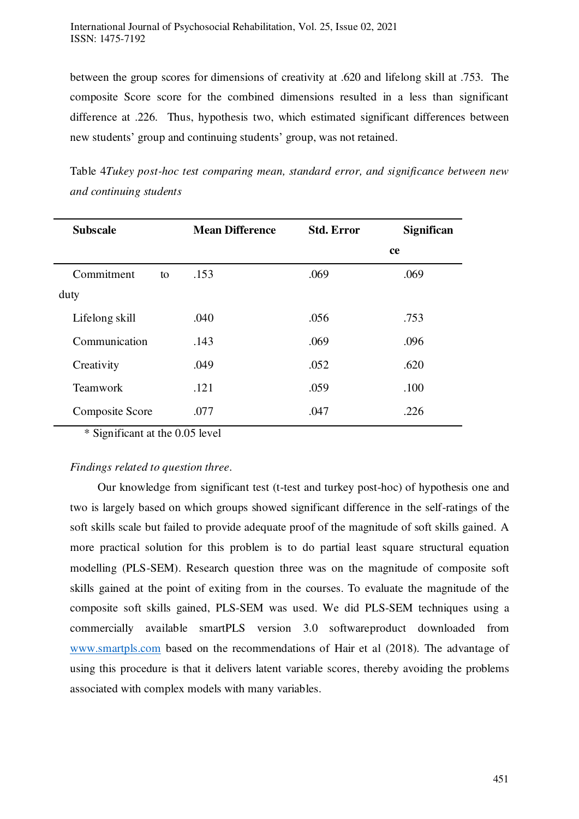between the group scores for dimensions of creativity at .620 and lifelong skill at .753. The composite Score score for the combined dimensions resulted in a less than significant difference at .226. Thus, hypothesis two, which estimated significant differences between new students' group and continuing students' group, was not retained.

Table 4*Tukey post-hoc test comparing mean, standard error, and significance between new and continuing students*

| <b>Subscale</b> |    | <b>Mean Difference</b> | <b>Std. Error</b> | Significan |
|-----------------|----|------------------------|-------------------|------------|
|                 |    |                        |                   | ce         |
| Commitment      | to | .153                   | .069              | .069       |
| duty            |    |                        |                   |            |
| Lifelong skill  |    | .040                   | .056              | .753       |
| Communication   |    | .143                   | .069              | .096       |
| Creativity      |    | .049                   | .052              | .620       |
| Teamwork        |    | .121                   | .059              | .100       |
| Composite Score |    | .077                   | .047              | .226       |

\* Significant at the 0.05 level

## *Findings related to question three*.

Our knowledge from significant test (t-test and turkey post-hoc) of hypothesis one and two is largely based on which groups showed significant difference in the self-ratings of the soft skills scale but failed to provide adequate proof of the magnitude of soft skills gained. A more practical solution for this problem is to do partial least square structural equation modelling (PLS-SEM). Research question three was on the magnitude of composite soft skills gained at the point of exiting from in the courses. To evaluate the magnitude of the composite soft skills gained, PLS-SEM was used. We did PLS-SEM techniques using a commercially available smartPLS version 3.0 softwareproduct downloaded from [www.smartpls.com](http://www.smartpls.com/) based on the recommendations of Hair et al (2018). The advantage of using this procedure is that it delivers latent variable scores, thereby avoiding the problems associated with complex models with many variables.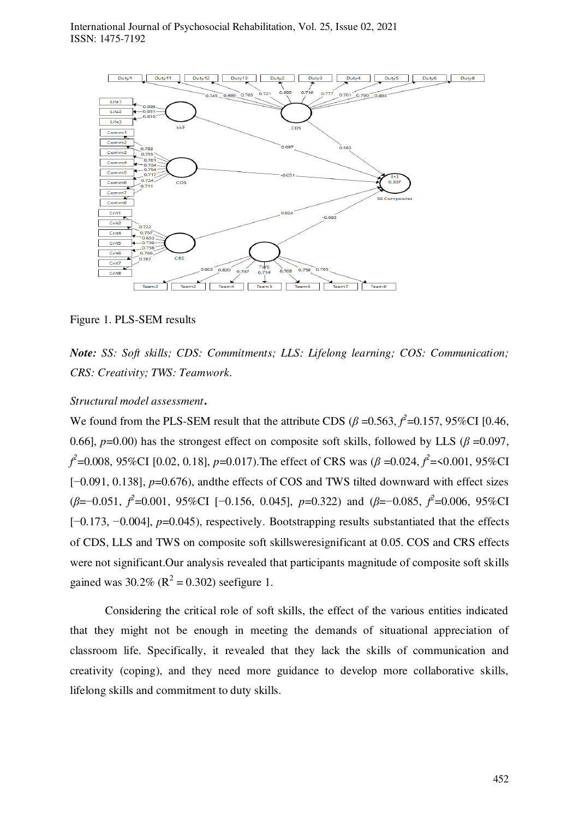

Figure 1. PLS-SEM results

*Note: SS: Soft skills; CDS: Commitments; LLS: Lifelong learning; COS: Communication; CRS: Creativity; TWS: Teamwork*.

## *Structural model assessment***.**

We found from the PLS-SEM result that the attribute CDS ( $\beta$  =0.563,  $\hat{f}$ <sup>2</sup>=0.157, 95%CI [0.46, 0.66],  $p=0.00$  has the strongest effect on composite soft skills, followed by LLS ( $\beta = 0.097$ , *f 2* =0.008, 95%CI [0.02, 0.18], *p*=0.017).The effect of CRS was (*β* =0.024, *f 2* =<0.001, 95%CI [−0.091, 0.138], *p*=0.676), andthe effects of COS and TWS tilted downward with effect sizes (*β*=−0.051, *f*<sup>2</sup>=0.001, 95%CI [−0.156, 0.045], *p*=0.322) and (*β*=−0.085, *f*<sup>2</sup>=0.006, 95%CI [−0.173, −0.004], *p*=0.045), respectively. Bootstrapping results substantiated that the effects of CDS, LLS and TWS on composite soft skillsweresignificant at 0.05. COS and CRS effects were not significant.Our analysis revealed that participants magnitude of composite soft skills gained was  $30.2\%$  ( $R^2 = 0.302$ ) seefigure 1.

Considering the critical role of soft skills, the effect of the various entities indicated that they might not be enough in meeting the demands of situational appreciation of classroom life. Specifically, it revealed that they lack the skills of communication and creativity (coping), and they need more guidance to develop more collaborative skills, lifelong skills and commitment to duty skills.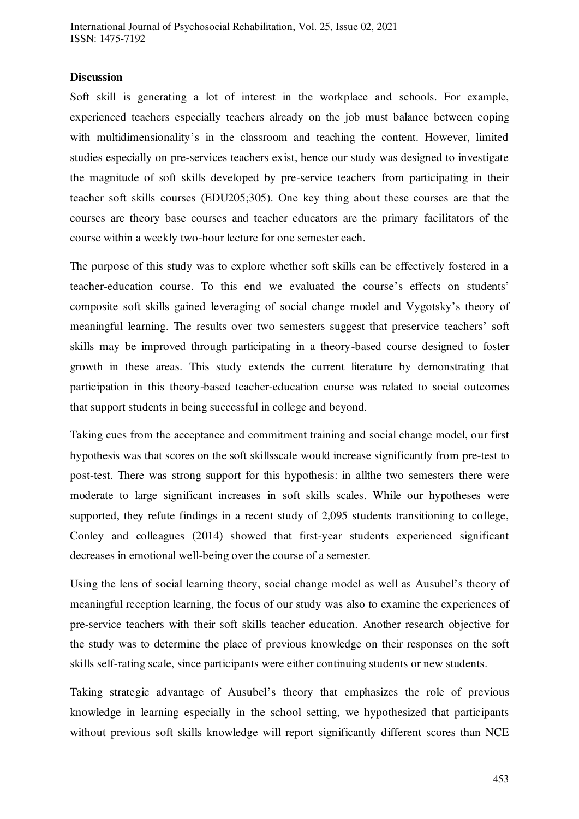## **Discussion**

Soft skill is generating a lot of interest in the workplace and schools. For example, experienced teachers especially teachers already on the job must balance between coping with multidimensionality's in the classroom and teaching the content. However, limited studies especially on pre-services teachers exist, hence our study was designed to investigate the magnitude of soft skills developed by pre-service teachers from participating in their teacher soft skills courses (EDU205;305). One key thing about these courses are that the courses are theory base courses and teacher educators are the primary facilitators of the course within a weekly two-hour lecture for one semester each.

The purpose of this study was to explore whether soft skills can be effectively fostered in a teacher-education course. To this end we evaluated the course's effects on students' composite soft skills gained leveraging of social change model and Vygotsky's theory of meaningful learning. The results over two semesters suggest that preservice teachers' soft skills may be improved through participating in a theory-based course designed to foster growth in these areas. This study extends the current literature by demonstrating that participation in this theory-based teacher-education course was related to social outcomes that support students in being successful in college and beyond.

Taking cues from the acceptance and commitment training and social change model, our first hypothesis was that scores on the soft skillsscale would increase significantly from pre-test to post-test. There was strong support for this hypothesis: in allthe two semesters there were moderate to large significant increases in soft skills scales. While our hypotheses were supported, they refute findings in a recent study of 2,095 students transitioning to college, Conley and colleagues (2014) showed that first-year students experienced significant decreases in emotional well-being over the course of a semester.

Using the lens of social learning theory, social change model as well as Ausubel's theory of meaningful reception learning, the focus of our study was also to examine the experiences of pre-service teachers with their soft skills teacher education. Another research objective for the study was to determine the place of previous knowledge on their responses on the soft skills self-rating scale, since participants were either continuing students or new students.

Taking strategic advantage of Ausubel's theory that emphasizes the role of previous knowledge in learning especially in the school setting, we hypothesized that participants without previous soft skills knowledge will report significantly different scores than NCE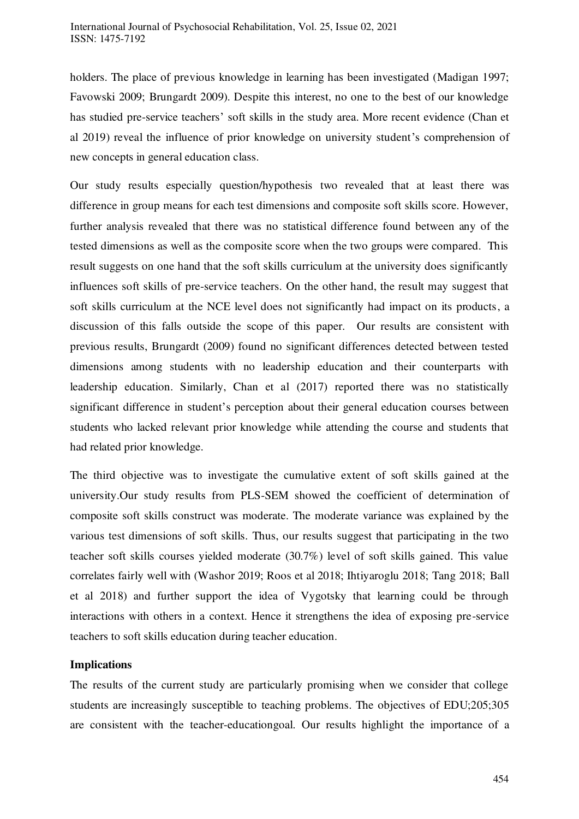holders. The place of previous knowledge in learning has been investigated (Madigan 1997; Favowski 2009; Brungardt 2009). Despite this interest, no one to the best of our knowledge has studied pre-service teachers' soft skills in the study area. More recent evidence (Chan et al 2019) reveal the influence of prior knowledge on university student's comprehension of new concepts in general education class.

Our study results especially question/hypothesis two revealed that at least there was difference in group means for each test dimensions and composite soft skills score. However, further analysis revealed that there was no statistical difference found between any of the tested dimensions as well as the composite score when the two groups were compared. This result suggests on one hand that the soft skills curriculum at the university does significantly influences soft skills of pre-service teachers. On the other hand, the result may suggest that soft skills curriculum at the NCE level does not significantly had impact on its products, a discussion of this falls outside the scope of this paper. Our results are consistent with previous results, Brungardt (2009) found no significant differences detected between tested dimensions among students with no leadership education and their counterparts with leadership education. Similarly, Chan et al (2017) reported there was no statistically significant difference in student's perception about their general education courses between students who lacked relevant prior knowledge while attending the course and students that had related prior knowledge.

The third objective was to investigate the cumulative extent of soft skills gained at the university.Our study results from PLS-SEM showed the coefficient of determination of composite soft skills construct was moderate. The moderate variance was explained by the various test dimensions of soft skills. Thus, our results suggest that participating in the two teacher soft skills courses yielded moderate (30.7%) level of soft skills gained. This value correlates fairly well with (Washor 2019; Roos et al 2018; Ihtiyaroglu 2018; Tang 2018; Ball et al 2018) and further support the idea of Vygotsky that learning could be through interactions with others in a context. Hence it strengthens the idea of exposing pre-service teachers to soft skills education during teacher education.

## **Implications**

The results of the current study are particularly promising when we consider that college students are increasingly susceptible to teaching problems. The objectives of EDU;205;305 are consistent with the teacher-educationgoal. Our results highlight the importance of a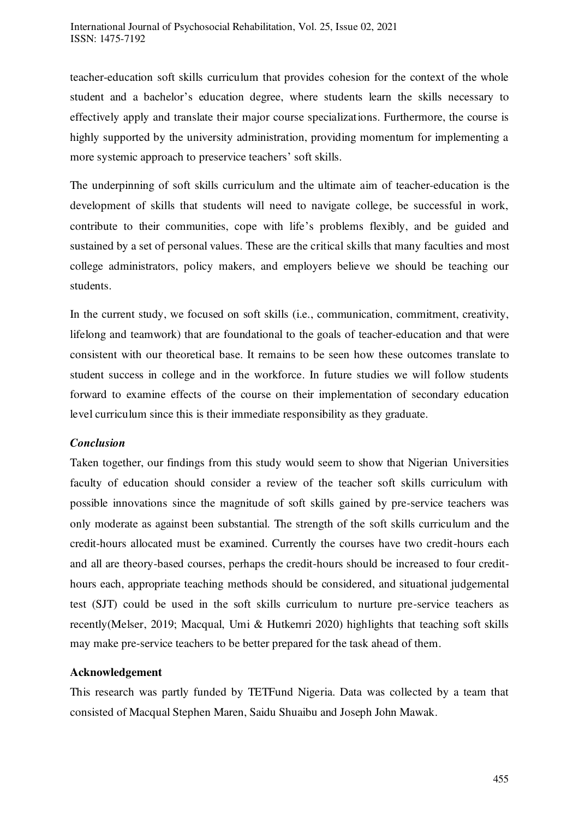teacher-education soft skills curriculum that provides cohesion for the context of the whole student and a bachelor's education degree, where students learn the skills necessary to effectively apply and translate their major course specializations. Furthermore, the course is highly supported by the university administration, providing momentum for implementing a more systemic approach to preservice teachers' soft skills.

The underpinning of soft skills curriculum and the ultimate aim of teacher-education is the development of skills that students will need to navigate college, be successful in work, contribute to their communities, cope with life's problems flexibly, and be guided and sustained by a set of personal values. These are the critical skills that many faculties and most college administrators, policy makers, and employers believe we should be teaching our students.

In the current study, we focused on soft skills (i.e., communication, commitment, creativity, lifelong and teamwork) that are foundational to the goals of teacher-education and that were consistent with our theoretical base. It remains to be seen how these outcomes translate to student success in college and in the workforce. In future studies we will follow students forward to examine effects of the course on their implementation of secondary education level curriculum since this is their immediate responsibility as they graduate.

## *Conclusion*

Taken together, our findings from this study would seem to show that Nigerian Universities faculty of education should consider a review of the teacher soft skills curriculum with possible innovations since the magnitude of soft skills gained by pre-service teachers was only moderate as against been substantial. The strength of the soft skills curriculum and the credit-hours allocated must be examined. Currently the courses have two credit-hours each and all are theory-based courses, perhaps the credit-hours should be increased to four credithours each, appropriate teaching methods should be considered, and situational judgemental test (SJT) could be used in the soft skills curriculum to nurture pre-service teachers as recently(Melser, 2019; Macqual, Umi & Hutkemri 2020) highlights that teaching soft skills may make pre-service teachers to be better prepared for the task ahead of them.

## **Acknowledgement**

This research was partly funded by TETFund Nigeria. Data was collected by a team that consisted of Macqual Stephen Maren, Saidu Shuaibu and Joseph John Mawak.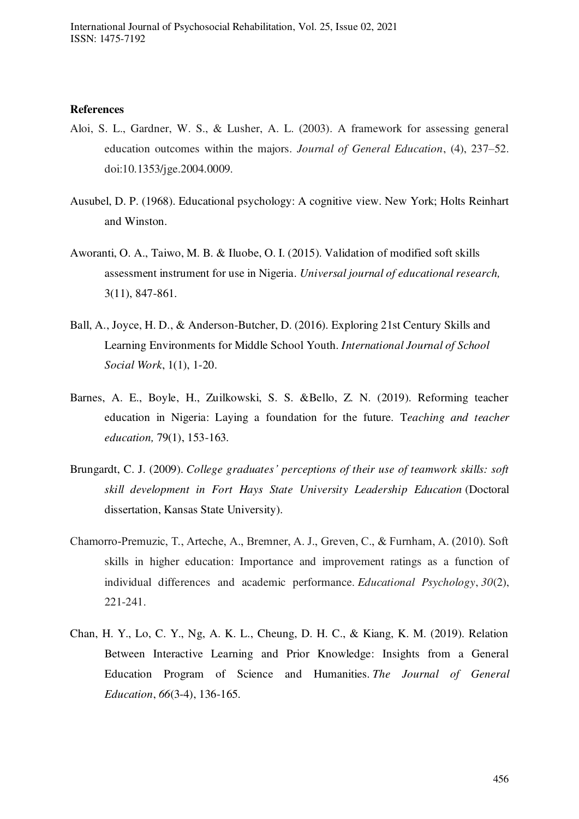#### **References**

- Aloi, S. L., Gardner, W. S., & Lusher, A. L. (2003). A framework for assessing general education outcomes within the majors. *Journal of General Education*, (4), 237–52. doi:10.1353/jge.2004.0009.
- Ausubel, D. P. (1968). Educational psychology: A cognitive view. New York; Holts Reinhart and Winston.
- Aworanti, O. A., Taiwo, M. B. & Iluobe, O. I. (2015). Validation of modified soft skills assessment instrument for use in Nigeria. *Universal journal of educational research,* 3(11), 847-861.
- Ball, A., Joyce, H. D., & Anderson-Butcher, D. (2016). Exploring 21st Century Skills and Learning Environments for Middle School Youth. *International Journal of School Social Work*, 1(1), 1-20.
- Barnes, A. E., Boyle, H., Zuilkowski, S. S. &Bello, Z. N. (2019). Reforming teacher education in Nigeria: Laying a foundation for the future. T*eaching and teacher education,* 79(1), 153-163.
- Brungardt, C. J. (2009). *College graduates' perceptions of their use of teamwork skills: soft skill development in Fort Hays State University Leadership Education* (Doctoral dissertation, Kansas State University).
- Chamorro‐Premuzic, T., Arteche, A., Bremner, A. J., Greven, C., & Furnham, A. (2010). Soft skills in higher education: Importance and improvement ratings as a function of individual differences and academic performance. *Educational Psychology*, *30*(2), 221-241.
- Chan, H. Y., Lo, C. Y., Ng, A. K. L., Cheung, D. H. C., & Kiang, K. M. (2019). Relation Between Interactive Learning and Prior Knowledge: Insights from a General Education Program of Science and Humanities. *The Journal of General Education*, *66*(3-4), 136-165.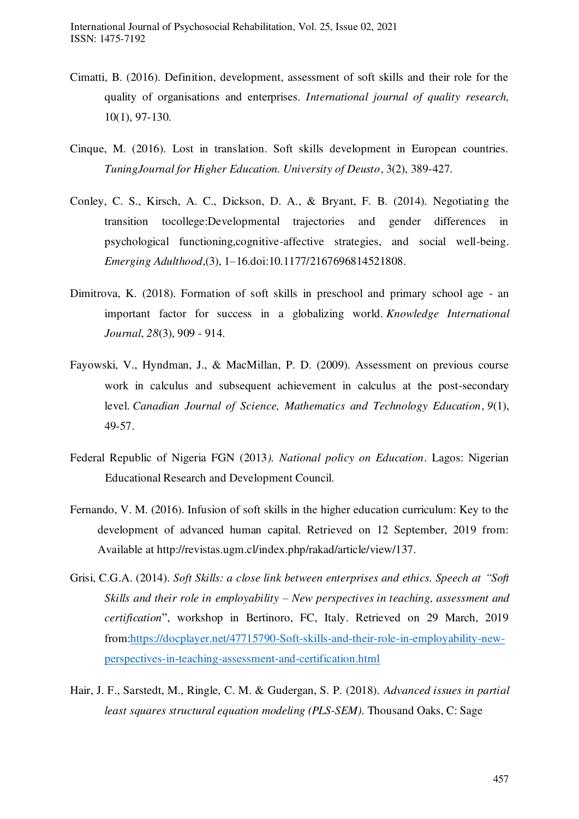- Cimatti, B. (2016). Definition, development, assessment of soft skills and their role for the quality of organisations and enterprises. *International journal of quality research,* 10(1), 97-130.
- Cinque, M. (2016). Lost in translation. Soft skills development in European countries. *TuningJournal for Higher Education. University of Deusto*, 3(2), 389-427.
- Conley, C. S., Kirsch, A. C., Dickson, D. A., & Bryant, F. B. (2014). Negotiating the transition tocollege:Developmental trajectories and gender differences in psychological functioning,cognitive-affective strategies, and social well-being. *Emerging Adulthood*,(3), 1–16.doi:10.1177/2167696814521808.
- Dimitrova, K. (2018). Formation of soft skills in preschool and primary school age an important factor for success in a globalizing world. *Knowledge International Journal*, *28*(3), 909 - 914.
- Fayowski, V., Hyndman, J., & MacMillan, P. D. (2009). Assessment on previous course work in calculus and subsequent achievement in calculus at the post-secondary level. *Canadian Journal of Science, Mathematics and Technology Education*, *9*(1), 49-57.
- Federal Republic of Nigeria FGN (2013*). National policy on Education*. Lagos: Nigerian Educational Research and Development Council.
- Fernando, V. M. (2016). Infusion of soft skills in the higher education curriculum: Key to the development of advanced human capital. Retrieved on 12 September, 2019 from: Available at [http://revistas.ugm.cl/index.php/rakad/article/view/137.](http://revistas.ugm.cl/index.php/rakad/article/view/137)
- Grisi, C.G.A. (2014). *Soft Skills: a close link between enterprises and ethics. Speech at "Soft*" *Skills and their role in employability – New perspectives in teaching, assessment and certification*", workshop in Bertinoro, FC, Italy. Retrieved on 29 March, 2019 from[:https://docplayer.net/47715790-Soft-skills-and-their-role-in-employability-new](https://docplayer.net/47715790-Soft-skills-and-their-role-in-employability-new-perspectives-in-teaching-assessment-and-certification.html)[perspectives-in-teaching-assessment-and-certification.html](https://docplayer.net/47715790-Soft-skills-and-their-role-in-employability-new-perspectives-in-teaching-assessment-and-certification.html)
- Hair, J. F., Sarstedt, M., Ringle, C. M. & Gudergan, S. P. (2018). *Advanced issues in partial least squares structural equation modeling (PLS-SEM)*. Thousand Oaks, C: Sage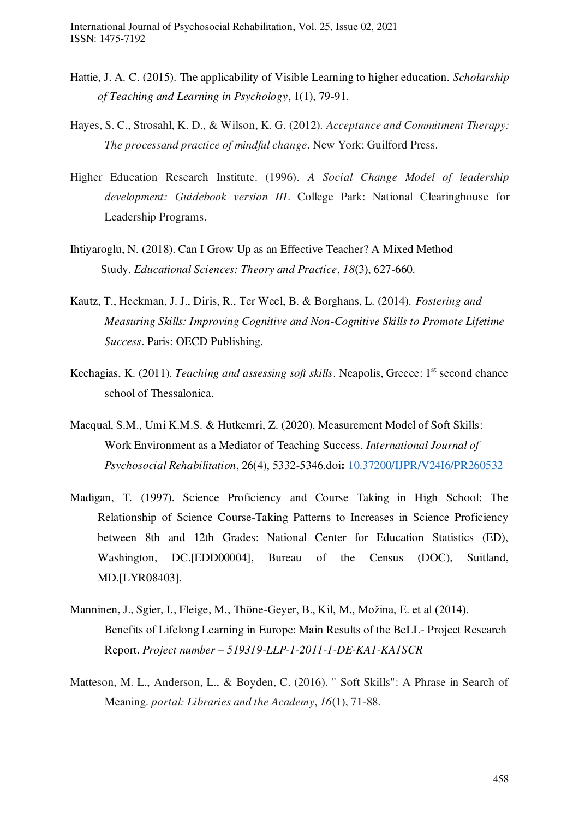- Hattie, J. A. C. (2015). The applicability of Visible Learning to higher education. *Scholarship of Teaching and Learning in Psychology*, 1(1), 79-91.
- Hayes, S. C., Strosahl, K. D., & Wilson, K. G. (2012). *Acceptance and Commitment Therapy: The processand practice of mindful change*. New York: Guilford Press.
- Higher Education Research Institute. (1996). *A Social Change Model of leadership development: Guidebook version III*. College Park: National Clearinghouse for Leadership Programs.
- Ihtiyaroglu, N. (2018). Can I Grow Up as an Effective Teacher? A Mixed Method Study. *Educational Sciences: Theory and Practice*, *18*(3), 627-660.
- Kautz, T., Heckman, J. J., Diris, R., Ter Weel, B. & Borghans, L. (2014). *Fostering and Measuring Skills: Improving Cognitive and Non-Cognitive Skills to Promote Lifetime Success*. Paris: OECD Publishing.
- Kechagias, K. (2011). *Teaching and assessing soft skills*. Neapolis, Greece: 1<sup>st</sup> second chance school of Thessalonica.
- Macqual, S.M., Umi K.M.S. & Hutkemri, Z. (2020). Measurement Model of Soft Skills: Work Environment as a Mediator of Teaching Success. *International Journal of Psychosocial Rehabilitation*, 26(4), 5332-5346.doi**:** [10.37200/IJPR/V24I6/PR260532](https://doi.org/10.37200/IJPR/V24I6/PR260532)
- Madigan, T. (1997). Science Proficiency and Course Taking in High School: The Relationship of Science Course-Taking Patterns to Increases in Science Proficiency between 8th and 12th Grades: National Center for Education Statistics (ED), Washington, DC.[EDD00004], Bureau of the Census (DOC), Suitland, MD.[LYR08403].
- Manninen, J., Sgier, I., Fleige, M., Thöne-Geyer, B., Kil, M., Možina, E. et al (2014). Benefits of Lifelong Learning in Europe: Main Results of the BeLL- Project Research Report. *Project number – 519319-LLP-1-2011-1-DE-KA1-KA1SCR*
- Matteson, M. L., Anderson, L., & Boyden, C. (2016). " Soft Skills": A Phrase in Search of Meaning. *portal: Libraries and the Academy*, *16*(1), 71-88.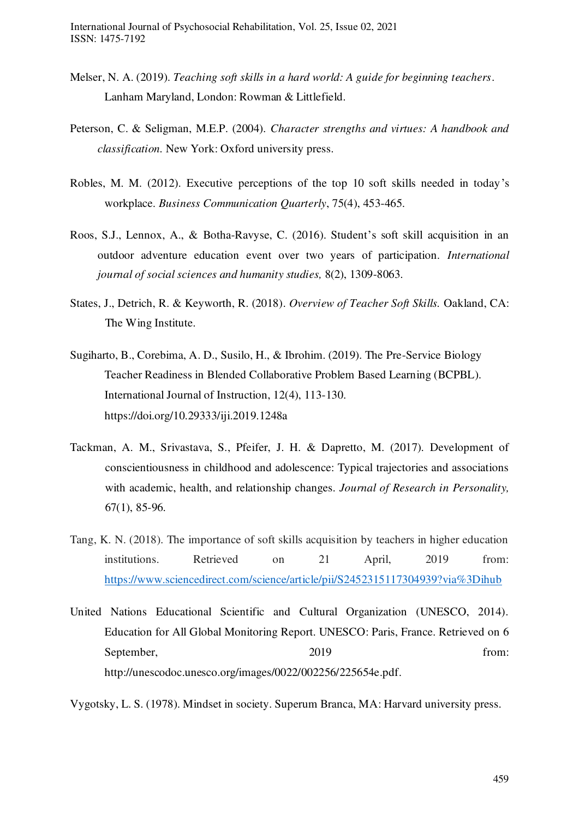- Melser, N. A. (2019). *Teaching soft skills in a hard world: A guide for beginning teachers*. Lanham Maryland, London: Rowman & Littlefield.
- Peterson, C. & Seligman, M.E.P. (2004). *Character strengths and virtues: A handbook and classification.* New York: Oxford university press.
- Robles, M. M. (2012). Executive perceptions of the top 10 soft skills needed in today's workplace. *Business Communication Quarterly*, 75(4), 453-465.
- Roos, S.J., Lennox, A., & Botha-Ravyse, C. (2016). Student's soft skill acquisition in an outdoor adventure education event over two years of participation. *International journal of social sciences and humanity studies,* 8(2), 1309-8063.
- States, J., Detrich, R. & Keyworth, R. (2018). *Overview of Teacher Soft Skills.* Oakland, CA: The Wing Institute.
- Sugiharto, B., Corebima, A. D., Susilo, H., & Ibrohim. (2019). The Pre-Service Biology Teacher Readiness in Blended Collaborative Problem Based Learning (BCPBL). International Journal of Instruction, 12(4), 113-130. https://doi.org/10.29333/iji.2019.1248a
- Tackman, A. M., Srivastava, S., Pfeifer, J. H. & Dapretto, M. (2017). Development of conscientiousness in childhood and adolescence: Typical trajectories and associations with academic, health, and relationship changes. *Journal of Research in Personality,*  67(1), 85-96.
- Tang, K. N. (2018). The importance of soft skills acquisition by teachers in higher education institutions. Retrieved on 21 April, 2019 from: <https://www.sciencedirect.com/science/article/pii/S2452315117304939?via%3Dihub>
- United Nations Educational Scientific and Cultural Organization (UNESCO, 2014). Education for All Global Monitoring Report. UNESCO: Paris, France. Retrieved on 6 September, 2019 from: [http://unescodoc.unesco.org/images/0022/002256/225654e.pdf.](http://unescodoc.unesco.org/images/0022/002256/225654e.pdf)

Vygotsky, L. S. (1978). Mindset in society. Superum Branca, MA: Harvard university press.